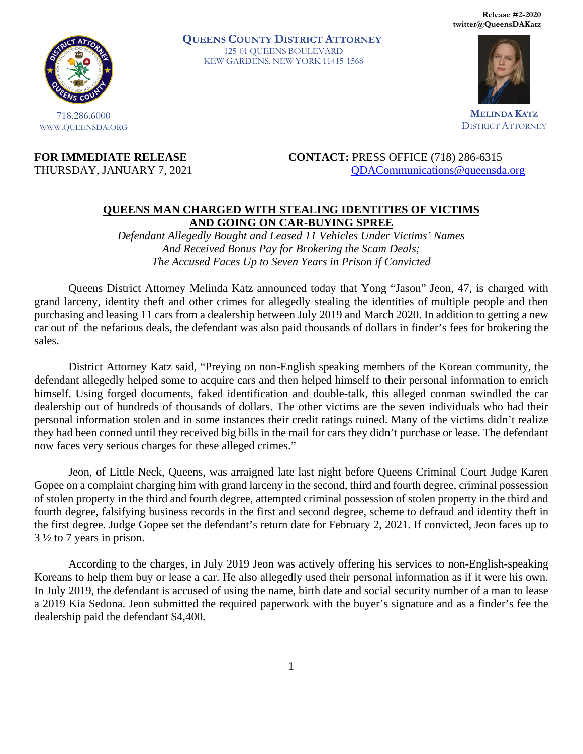**Release #2-2020 twitter@QueensDAKatz** 



718.286.6000 WWW.QUEENSDA.ORG **QUEENS COUNTY DISTRICT ATTORNEY** 125-01 QUEENS BOULEVARD KEW GARDENS, NEW YORK 11415-1568



**MELINDA KATZ** DISTRICT ATTORNEY

**FOR IMMEDIATE RELEASE CONTACT:** PRESS OFFICE (718) 286-6315 THURSDAY, JANUARY 7, 2021 QDACommunications @queensda.org

## **QUEENS MAN CHARGED WITH STEALING IDENTITIES OF VICTIMS AND GOING ON CAR-BUYING SPREE**

*Defendant Allegedly Bought and Leased 11 Vehicles Under Victims' Names And Received Bonus Pay for Brokering the Scam Deals; The Accused Faces Up to Seven Years in Prison if Convicted* 

Queens District Attorney Melinda Katz announced today that Yong "Jason" Jeon, 47, is charged with grand larceny, identity theft and other crimes for allegedly stealing the identities of multiple people and then purchasing and leasing 11 cars from a dealership between July 2019 and March 2020. In addition to getting a new car out of the nefarious deals, the defendant was also paid thousands of dollars in finder's fees for brokering the sales.

District Attorney Katz said, "Preying on non-English speaking members of the Korean community, the defendant allegedly helped some to acquire cars and then helped himself to their personal information to enrich himself. Using forged documents, faked identification and double-talk, this alleged conman swindled the car dealership out of hundreds of thousands of dollars. The other victims are the seven individuals who had their personal information stolen and in some instances their credit ratings ruined. Many of the victims didn't realize they had been conned until they received big bills in the mail for cars they didn't purchase or lease. The defendant now faces very serious charges for these alleged crimes."

Jeon, of Little Neck, Queens, was arraigned late last night before Queens Criminal Court Judge Karen Gopee on a complaint charging him with grand larceny in the second, third and fourth degree, criminal possession of stolen property in the third and fourth degree, attempted criminal possession of stolen property in the third and fourth degree, falsifying business records in the first and second degree, scheme to defraud and identity theft in the first degree. Judge Gopee set the defendant's return date for February 2, 2021. If convicted, Jeon faces up to 3 ½ to 7 years in prison.

According to the charges, in July 2019 Jeon was actively offering his services to non-English-speaking Koreans to help them buy or lease a car. He also allegedly used their personal information as if it were his own. In July 2019, the defendant is accused of using the name, birth date and social security number of a man to lease a 2019 Kia Sedona. Jeon submitted the required paperwork with the buyer's signature and as a finder's fee the dealership paid the defendant \$4,400.